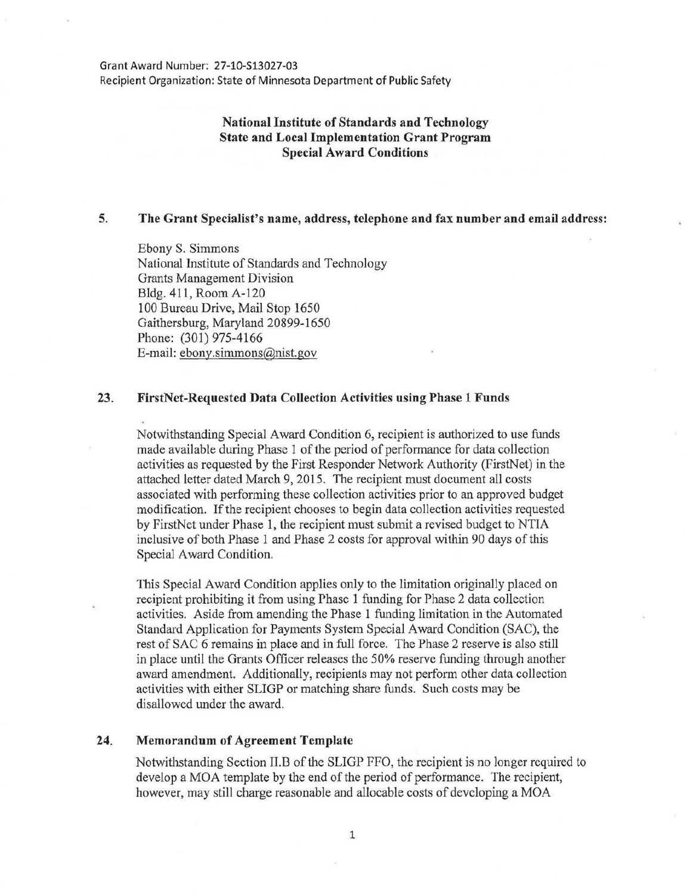Grant Award Number: 27-10-S13027-03 Recipient Organization: State of Minnesota Department of Public Safety

# National Institute of Standards and Technology State and Local Implementation Grant Program Special Award Conditions

# 5. The Grant Specialist's name, address, telephone and fax number and email address:

Ebony S. Simmons National Institute of Standards and Technology Grants Management Division Bldg. 411, Room A-120 100 Bureau Drive, Mail Stop 1650 Gaithersburg, Maryland 20899-1650 Phone: (301) 975-4166 E-mail: ebony.simmons@nist.gov

#### 23. FirstNet-Requested Data Collection Activities using Phase 1 Funds

Notwithstanding Special Award Condition 6, recipient is authorized to use funds made available during Phase 1 of the period of performance for data collection activities as requested by the First Responder Network Authority (FirstNet) in the attached letter dated March 9, 2015. The recipient must document all costs associated with performing these collection activities prior to an approved budget modification. If the recipient chooses to begin data collection activities requested by FirstNet under Phase 1, the recipient must submit a revised budget to NTIA inclusive of both Phase 1 and Phase 2 costs for approval within 90 days of this Special Award Condition.

This Special Award Condition applies only to the limitation originally placed on recipient prohibiting it from using Phase 1 funding for Phase 2 data collection activities. Aside from amending the Phase 1 funding limitation in the Automated Standard Application for Payments System Special Award Condition (SAC), the rest of SAC 6 remains in place and in full force. The Phase 2 reserve is also still in place until the Grants Officer releases the 50% reserve funding through another award amendment. Additionally, recipients may not perform other data collection activities with either SLIGP or matching share funds. Such costs may be disallowed under the award.

## 24. Memorandum of Agreement Template

Notwithstanding Section II.B of the SLIGP FFO, the recipient is no longer required to develop a MOA template by the end of the period of performance. The recipient, however, may still charge reasonable and allocable costs of developing a MOA

1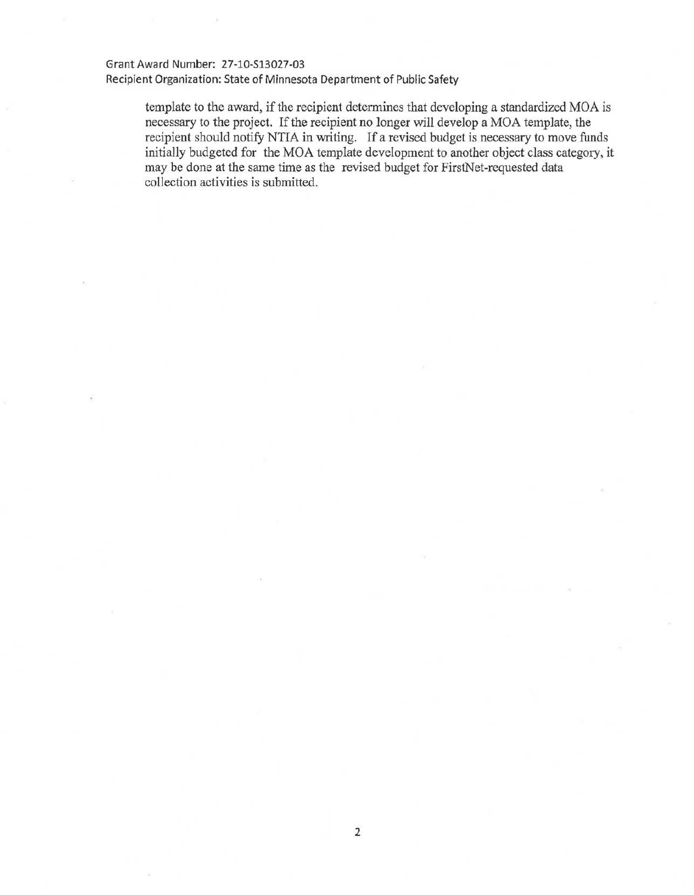## Grant Award Number: 27-10-513027-03

Recipient Organization: State of Minnesota Department of Public Safety

template to the award, if the recipient determines that developing a standardized MOA is necessary to the project. If the recipient no longer will develop a MOA template, the recipient should notify NTIA in writing. If a revised budget is necessary to move funds initially budgeted for the MOA template development to another object class category, it may be done at the same time as the revised budget for FirstNet-requested data collection activities is submitted.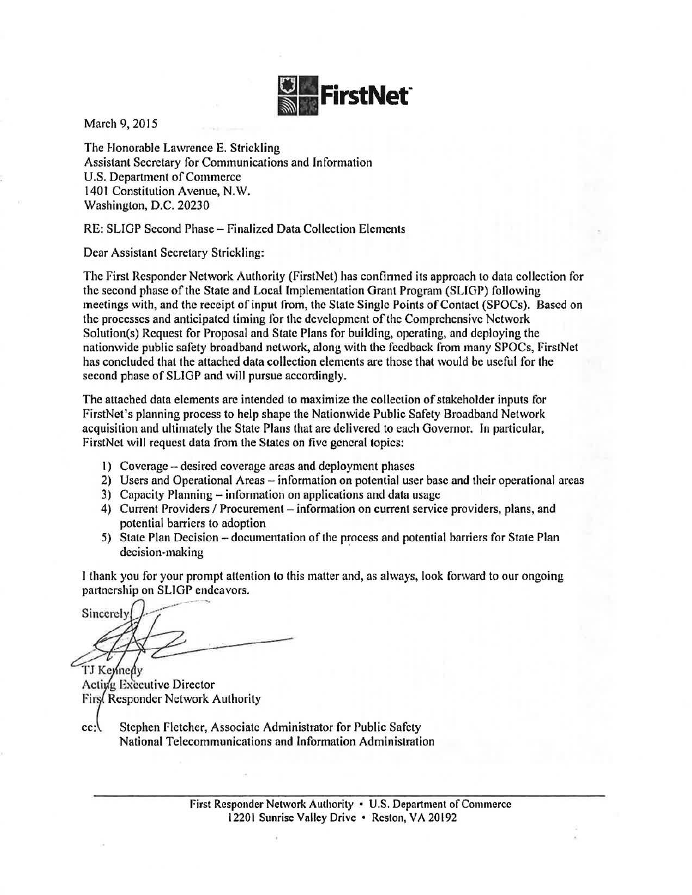

March 9, 2015

The Honorable Lawrence E. Strickling Assistant Secretary for Communications and Information U.S. Department of Commerce 1401 Constitution Avenue, N.W. Washington, D.C. 20230

RE: SLIGP Second Phase- Finalized Data Collection Elements

Dear Assistant Secretary Strickling:

The First Responder Network Authority (FirstNet) has confirmed its approach to data collection for the second phase of the State and Local Implementation Grant Program (SLIGP) following meetings with, and the receipt of input from, the State Single Points of Contact (SPOCs). Based on the processes and anticipated timing for the development of the Comprehensive Network Solution(s) Request for Proposal and State Plans for building, operating, and deploying the nationwide public safety broadband network, along with the feedback from many SPOCs, FirstNet has concluded that the attached data collection elements are those that would be useful for the second phase of SLIGP and will pursue accordingly.

The attached data elements arc intended to maximize the collection of stakeholder inputs for FirstNet's planning process to help shape the Nationwide Public Safety Broadband Network acquisition and ultimately the State Plans that are delivered to each Governor. In particular, FirstNet will request data from the States on five general topics:

- I) Coverage- desired coverage areas and deployment phases
- 2) Users and Operational Areas information on potential user base and their operational areas
- 3) Capacity Planning- information on applications and data usage
- 4) Current Providers / Procurement information on current service providers, plans, and potential barriers to adoption
- 5) State Plan Decision- documentation of the process and potential barriers for State Plan decision-making

I thank you for your prompt attention to this matter and, as always, look forward to our ongoing

partnership on SLIGP endeavors.<br>Sincerely Sincerely

TJ Kennedy Acting Executive Director Firs Responder Network Authority

cc: Stephen Fletcher, Associate Administrator for Public Safety National Telecommunications and Information Administration